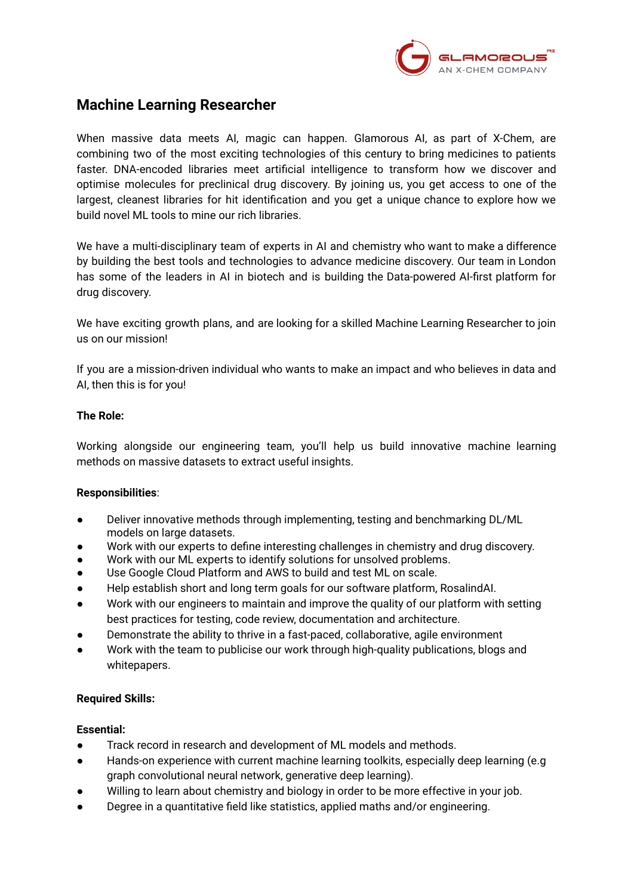

# **Machine Learning Researcher**

When massive data meets AI, magic can happen. Glamorous AI, as part of X-Chem, are combining two of the most exciting technologies of this century to bring medicines to patients faster. DNA-encoded libraries meet artificial intelligence to transform how we discover and optimise molecules for preclinical drug discovery. By joining us, you get access to one of the largest, cleanest libraries for hit identification and you get a unique chance to explore how we build novel ML tools to mine our rich libraries.

We have a multi-disciplinary team of experts in AI and chemistry who want to make a difference by building the best tools and technologies to advance medicine discovery. Our team in London has some of the leaders in AI in biotech and is building the Data-powered AI-first platform for drug discovery.

We have exciting growth plans, and are looking for a skilled Machine Learning Researcher to join us on our mission!

If you are a mission-driven individual who wants to make an impact and who believes in data and AI, then this is for you!

### **The Role:**

Working alongside our engineering team, you'll help us build innovative machine learning methods on massive datasets to extract useful insights.

## **Responsibilities**:

- Deliver innovative methods through implementing, testing and benchmarking DL/ML models on large datasets.
- Work with our experts to define interesting challenges in chemistry and drug discovery.
- Work with our ML experts to identify solutions for unsolved problems.
- Use Google Cloud Platform and AWS to build and test ML on scale.
- Help establish short and long term goals for our software platform, RosalindAI.
- Work with our engineers to maintain and improve the quality of our platform with setting best practices for testing, code review, documentation and architecture.
- Demonstrate the ability to thrive in a fast-paced, collaborative, agile environment
- Work with the team to publicise our work through high-quality publications, blogs and whitepapers.

#### **Required Skills:**

#### **Essential:**

- Track record in research and development of ML models and methods.
- Hands-on experience with current machine learning toolkits, especially deep learning (e.g graph convolutional neural network, generative deep learning).
- Willing to learn about chemistry and biology in order to be more effective in your job.
- Degree in a quantitative field like statistics, applied maths and/or engineering.